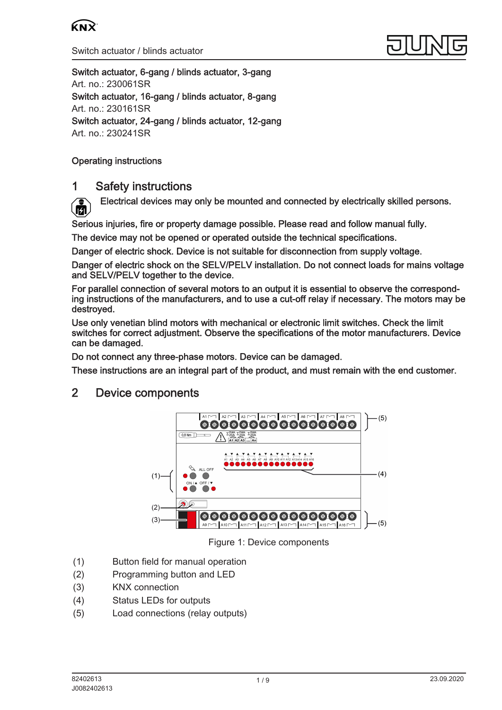



Switch actuator, 6-gang / blinds actuator, 3-gang Art. no.: [230061SR](http://qr.jung.de/ean/4011377179110.htm) Switch actuator, 16-gang / blinds actuator, 8-gang Art. no.: [230161SR](http://qr.jung.de/ean/4011377179127.htm) Switch actuator, 24-gang / blinds actuator, 12-gang Art. no.: [230241SR](http://qr.jung.de/ean/4011377179134.htm)

## Operating instructions

# 1 Safety instructions

Electrical devices may only be mounted and connected by electrically skilled persons. ſЙ

Serious injuries, fire or property damage possible. Please read and follow manual fully.

The device may not be opened or operated outside the technical specifications.

Danger of electric shock. Device is not suitable for disconnection from supply voltage.

Danger of electric shock on the SELV/PELV installation. Do not connect loads for mains voltage and SELV/PELV together to the device.

For parallel connection of several motors to an output it is essential to observe the corresponding instructions of the manufacturers, and to use a cut-off relay if necessary. The motors may be destroyed.

Use only venetian blind motors with mechanical or electronic limit switches. Check the limit switches for correct adjustment. Observe the specifications of the motor manufacturers. Device can be damaged.

Do not connect any three-phase motors. Device can be damaged.

These instructions are an integral part of the product, and must remain with the end customer.

# 2 Device components



Figure 1: Device components

- (1) Button field for manual operation
- (2) Programming button and LED
- (3) KNX connection
- (4) Status LEDs for outputs
- (5) Load connections (relay outputs)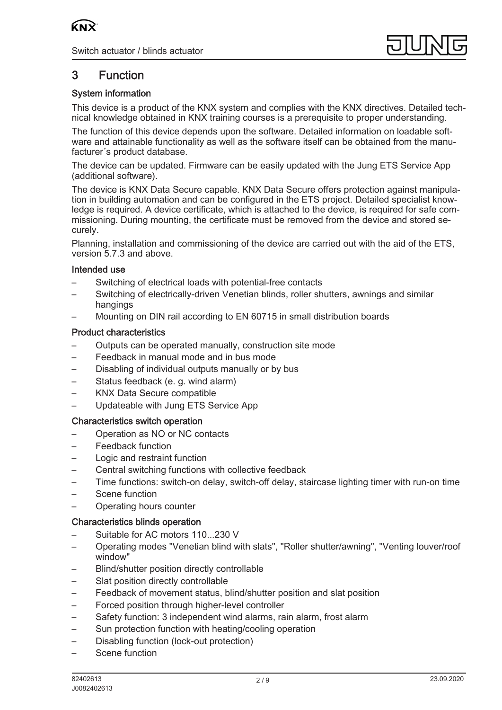

# 3 Function

# System information

This device is a product of the KNX system and complies with the KNX directives. Detailed technical knowledge obtained in KNX training courses is a prerequisite to proper understanding.

The function of this device depends upon the software. Detailed information on loadable software and attainable functionality as well as the software itself can be obtained from the manufacturer´s product database.

The device can be updated. Firmware can be easily updated with the Jung ETS Service App (additional software).

The device is KNX Data Secure capable. KNX Data Secure offers protection against manipulation in building automation and can be configured in the ETS project. Detailed specialist knowledge is required. A device certificate, which is attached to the device, is required for safe commissioning. During mounting, the certificate must be removed from the device and stored securely.

Planning, installation and commissioning of the device are carried out with the aid of the ETS, version 5.7.3 and above.

### Intended use

- Switching of electrical loads with potential-free contacts
- Switching of electrically-driven Venetian blinds, roller shutters, awnings and similar hangings
- Mounting on DIN rail according to EN 60715 in small distribution boards

### Product characteristics

- Outputs can be operated manually, construction site mode
- Feedback in manual mode and in bus mode
- Disabling of individual outputs manually or by bus
- Status feedback (e. g. wind alarm)
- KNX Data Secure compatible
- Updateable with Jung ETS Service App

### Characteristics switch operation

- Operation as NO or NC contacts
- Feedback function
- Logic and restraint function
- Central switching functions with collective feedback
- Time functions: switch-on delay, switch-off delay, staircase lighting timer with run-on time
- Scene function
- Operating hours counter

### Characteristics blinds operation

- Suitable for AC motors 110...230 V
- Operating modes "Venetian blind with slats", "Roller shutter/awning", "Venting louver/roof window"
- Blind/shutter position directly controllable
- Slat position directly controllable
- Feedback of movement status, blind/shutter position and slat position
- Forced position through higher-level controller
- Safety function: 3 independent wind alarms, rain alarm, frost alarm
- Sun protection function with heating/cooling operation
- Disabling function (lock-out protection)
- Scene function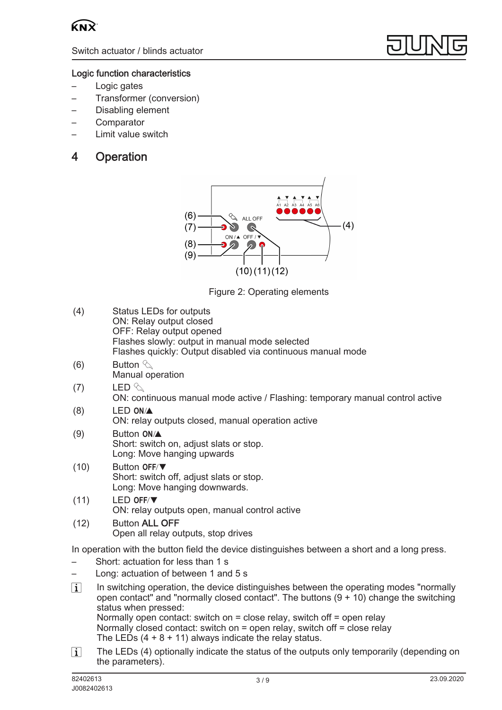



### Logic function characteristics

- Logic gates
- Transformer (conversion)
- Disabling element
- **Comparator**
- Limit value switch

# 4 Operation



Figure 2: Operating elements

- (4) Status LEDs for outputs ON: Relay output closed OFF: Relay output opened Flashes slowly: output in manual mode selected Flashes quickly: Output disabled via continuous manual mode
- (6) Button  $\mathcal{C}_{\mathcal{A}}$ Manual operation
- (7) LED  $\Diamond$ ON: continuous manual mode active / Flashing: temporary manual control active
- $(8)$  LED ON/ $\blacktriangle$ ON: relay outputs closed, manual operation active
- $(9)$  Button **ON**/ $\triangle$ Short: switch on, adjust slats or stop. Long: Move hanging upwards
- $(10)$  Button OFF/ $\nabla$ Short: switch off, adjust slats or stop. Long: Move hanging downwards.
- $(11)$  LED OFF/ $\nabla$ ON: relay outputs open, manual control active
- (12) Button ALL OFF Open all relay outputs, stop drives

In operation with the button field the device distinguishes between a short and a long press.

- Short: actuation for less than 1 s
- Long: actuation of between 1 and 5 s
- $\lceil$ i In switching operation, the device distinguishes between the operating modes "normally open contact" and "normally closed contact". The buttons  $(9 + 10)$  change the switching status when pressed: Normally open contact: switch on = close relay, switch off = open relay Normally closed contact: switch on = open relay, switch off = close relay The LEDs  $(4 + 8 + 11)$  always indicate the relay status.
- $\lceil i \rceil$ The LEDs (4) optionally indicate the status of the outputs only temporarily (depending on the parameters).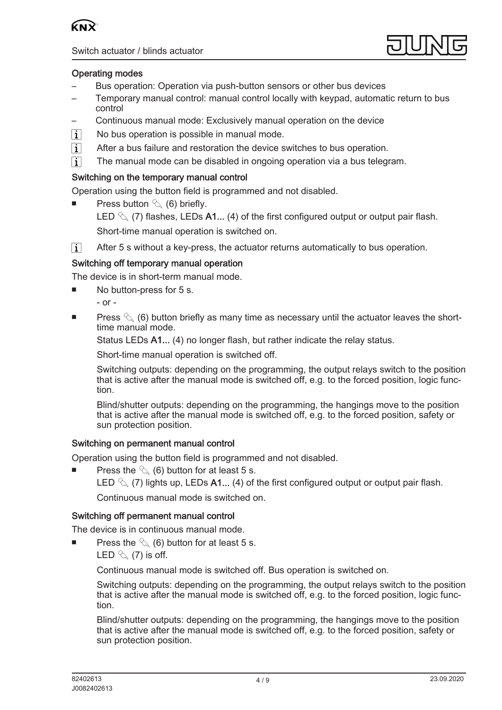



## Operating modes

- Bus operation: Operation via push-button sensors or other bus devices
- Temporary manual control: manual control locally with keypad, automatic return to bus control
- Continuous manual mode: Exclusively manual operation on the device
- No bus operation is possible in manual mode.  $\lceil i \rceil$
- $\lceil$ i $\rceil$ After a bus failure and restoration the device switches to bus operation.
- $\lceil i \rceil$ The manual mode can be disabled in ongoing operation via a bus telegram.

## Switching on the temporary manual control

Operation using the button field is programmed and not disabled.

- Press button  $\mathcal{L}(6)$  briefly. LED  $\%$  (7) flashes, LEDs A1... (4) of the first configured output or output pair flash. Short-time manual operation is switched on.
- $\lceil \cdot \rceil$ After 5 s without a key-press, the actuator returns automatically to bus operation.

### Switching off temporary manual operation

The device is in short-term manual mode.

- No button-press for 5 s.
	- or -
- Press  $\mathcal{C}_{\mathbb{A}}$  (6) button briefly as many time as necessary until the actuator leaves the shorttime manual mode.

Status LEDs A1... (4) no longer flash, but rather indicate the relay status.

Short-time manual operation is switched off.

Switching outputs: depending on the programming, the output relays switch to the position that is active after the manual mode is switched off, e.g. to the forced position, logic function.

Blind/shutter outputs: depending on the programming, the hangings move to the position that is active after the manual mode is switched off, e.g. to the forced position, safety or sun protection position.

### Switching on permanent manual control

Operation using the button field is programmed and not disabled.

- Press the  $\mathcal{L}(6)$  button for at least 5 s.
	- LED  $\&$  (7) lights up, LEDs A1... (4) of the first configured output or output pair flash.

Continuous manual mode is switched on.

### Switching off permanent manual control

The device is in continuous manual mode.

- Press the  $\mathcal{L}$  (6) button for at least 5 s.
	- LED  $\mathcal{L}(7)$  is off.

Continuous manual mode is switched off. Bus operation is switched on.

Switching outputs: depending on the programming, the output relays switch to the position that is active after the manual mode is switched off, e.g. to the forced position, logic function.

Blind/shutter outputs: depending on the programming, the hangings move to the position that is active after the manual mode is switched off, e.g. to the forced position, safety or sun protection position.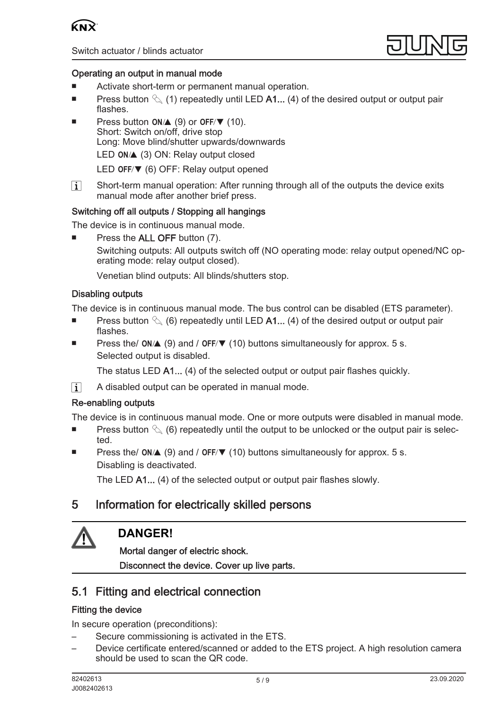



## Operating an output in manual mode

- Activate short-term or permanent manual operation.
- **■** Press button  $\%$  (1) repeatedly until LED A1... (4) of the desired output or output pair flashes.
- Press button  $ON/\triangle$  (9) or OFF/ $\nabla$  (10). Short: Switch on/off, drive stop Long: Move blind/shutter upwards/downwards LED  $ON/\triangle$  (3) ON: Relay output closed LED OFF/ $\nabla$  (6) OFF: Relay output opened
- $\lceil i \rceil$ Short-term manual operation: After running through all of the outputs the device exits manual mode after another brief press.

### Switching off all outputs / Stopping all hangings

The device is in continuous manual mode.

Press the ALL OFF button (7). Switching outputs: All outputs switch off (NO operating mode: relay output opened/NC operating mode: relay output closed).

Venetian blind outputs: All blinds/shutters stop.

### Disabling outputs

The device is in continuous manual mode. The bus control can be disabled (ETS parameter).

- **■** Press button  $\mathcal{L}_{\lambda}$  (6) repeatedly until LED A1... (4) of the desired output or output pair flashes.
- Press the/  $ON/\Delta$  (9) and / OFF/ $\nabla$  (10) buttons simultaneously for approx. 5 s. Selected output is disabled.

The status LED A1... (4) of the selected output or output pair flashes quickly.

A disabled output can be operated in manual mode.  $\lceil i \rceil$ 

### Re-enabling outputs

The device is in continuous manual mode. One or more outputs were disabled in manual mode.

- Press button  $\Diamond$  (6) repeatedly until the output to be unlocked or the output pair is selected.
- Press the/  $ON/\Delta$  (9) and / OFF/ $\nabla$  (10) buttons simultaneously for approx. 5 s. Disabling is deactivated.

The LED A1... (4) of the selected output or output pair flashes slowly.

# 5 Information for electrically skilled persons



# **DANGER!**

Mortal danger of electric shock. Disconnect the device. Cover up live parts.

# 5.1 Fitting and electrical connection

## Fitting the device

In secure operation (preconditions):

- Secure commissioning is activated in the ETS.
- Device certificate entered/scanned or added to the ETS project. A high resolution camera should be used to scan the QR code.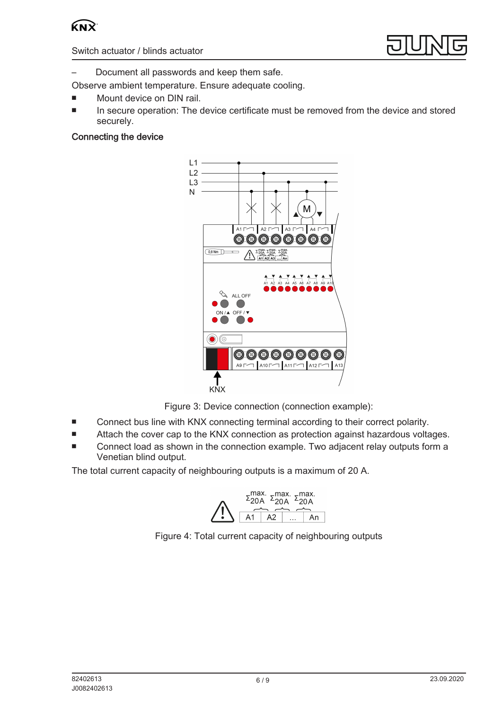



– Document all passwords and keep them safe.

- Observe ambient temperature. Ensure adequate cooling.
- Mount device on DIN rail.
- In secure operation: The device certificate must be removed from the device and stored securely.

# Connecting the device



Figure 3: Device connection (connection example):

- Connect bus line with KNX connecting terminal according to their correct polarity.
- Attach the cover cap to the KNX connection as protection against hazardous voltages.
- Connect load as shown in the connection example. Two adjacent relay outputs form a Venetian blind output.

The total current capacity of neighbouring outputs is a maximum of 20 A.



Figure 4: Total current capacity of neighbouring outputs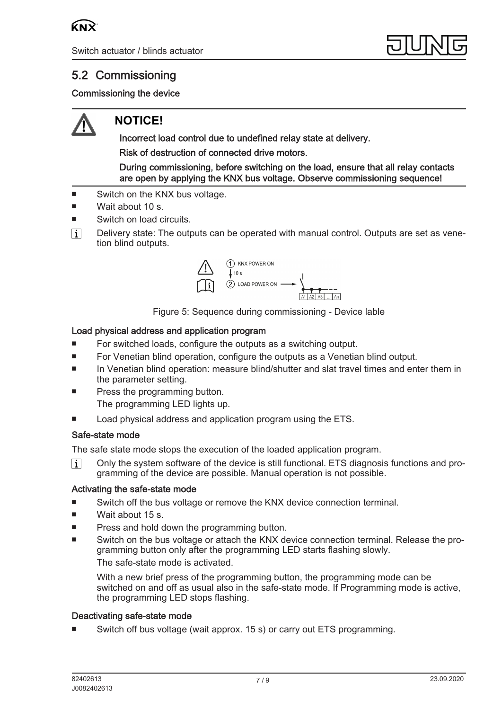

# 5.2 Commissioning

# Commissioning the device



# **NOTICE!**

Incorrect load control due to undefined relay state at delivery. Risk of destruction of connected drive motors.

During commissioning, before switching on the load, ensure that all relay contacts are open by applying the KNX bus voltage. Observe commissioning sequence!

- Switch on the KNX bus voltage.
- Wait about  $10 s$ .
- Switch on load circuits.
- $\lceil i \rceil$ Delivery state: The outputs can be operated with manual control. Outputs are set as venetion blind outputs.



Figure 5: Sequence during commissioning - Device lable

### Load physical address and application program

- For switched loads, configure the outputs as a switching output.
- For Venetian blind operation, configure the outputs as a Venetian blind output.
- In Venetian blind operation: measure blind/shutter and slat travel times and enter them in the parameter setting.
- Press the programming button. The programming LED lights up.
- Load physical address and application program using the ETS.

### Safe-state mode

The safe state mode stops the execution of the loaded application program.

 $|i|$ Only the system software of the device is still functional. ETS diagnosis functions and programming of the device are possible. Manual operation is not possible.

### Activating the safe-state mode

- Switch off the bus voltage or remove the KNX device connection terminal.
- Wait about 15 s.
- Press and hold down the programming button.
- Switch on the bus voltage or attach the KNX device connection terminal. Release the programming button only after the programming LED starts flashing slowly. The safe-state mode is activated.

With a new brief press of the programming button, the programming mode can be switched on and off as usual also in the safe-state mode. If Programming mode is active, the programming LED stops flashing.

### Deactivating safe-state mode

Switch off bus voltage (wait approx. 15 s) or carry out ETS programming.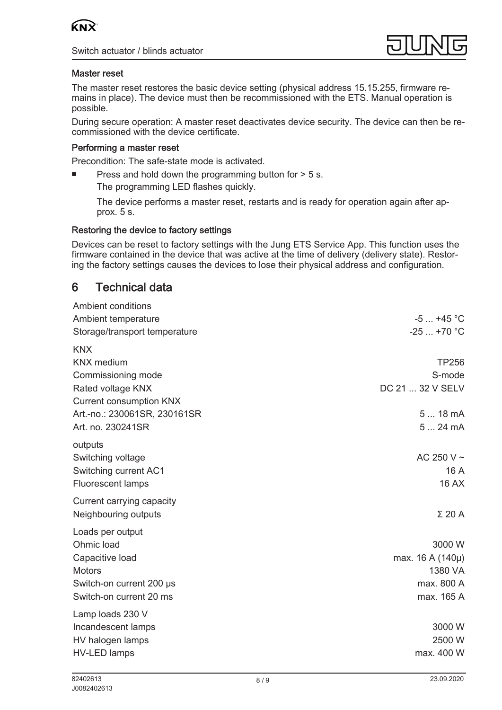



### Master reset

The master reset restores the basic device setting (physical address 15.15.255, firmware remains in place). The device must then be recommissioned with the ETS. Manual operation is possible.

During secure operation: A master reset deactivates device security. The device can then be recommissioned with the device certificate.

### Performing a master reset

Precondition: The safe-state mode is activated.

Press and hold down the programming button for  $> 5$  s.

The programming LED flashes quickly.

The device performs a master reset, restarts and is ready for operation again after approx. 5 s.

#### Restoring the device to factory settings

Devices can be reset to factory settings with the Jung ETS Service App. This function uses the firmware contained in the device that was active at the time of delivery (delivery state). Restoring the factory settings causes the devices to lose their physical address and configuration.

# 6 Technical data

| <b>Ambient conditions</b>      |                  |
|--------------------------------|------------------|
| Ambient temperature            | $-5+45$ °C       |
| Storage/transport temperature  | $-25+70$ °C      |
| <b>KNX</b>                     |                  |
| <b>KNX</b> medium              | <b>TP256</b>     |
| Commissioning mode             | S-mode           |
| Rated voltage KNX              | DC 21  32 V SELV |
| <b>Current consumption KNX</b> |                  |
| Art.-no.: 230061SR, 230161SR   | 5  18 mA         |
| Art. no. 230241SR              | 524mA            |
| outputs                        |                  |
| Switching voltage              | AC 250 V $\sim$  |
| Switching current AC1          | 16 A             |
| <b>Fluorescent lamps</b>       | <b>16 AX</b>     |
| Current carrying capacity      |                  |
| Neighbouring outputs           | $\Sigma$ 20 A    |
| Loads per output               |                  |
| Ohmic load                     | 3000 W           |
| Capacitive load                | max. 16 A (140µ) |
| <b>Motors</b>                  | 1380 VA          |
| Switch-on current 200 µs       | max. 800 A       |
| Switch-on current 20 ms        | max. 165 A       |
| Lamp loads 230 V               |                  |
| Incandescent lamps             | 3000 W           |
| HV halogen lamps               | 2500 W           |
| <b>HV-LED lamps</b>            | max. 400 W       |
|                                |                  |